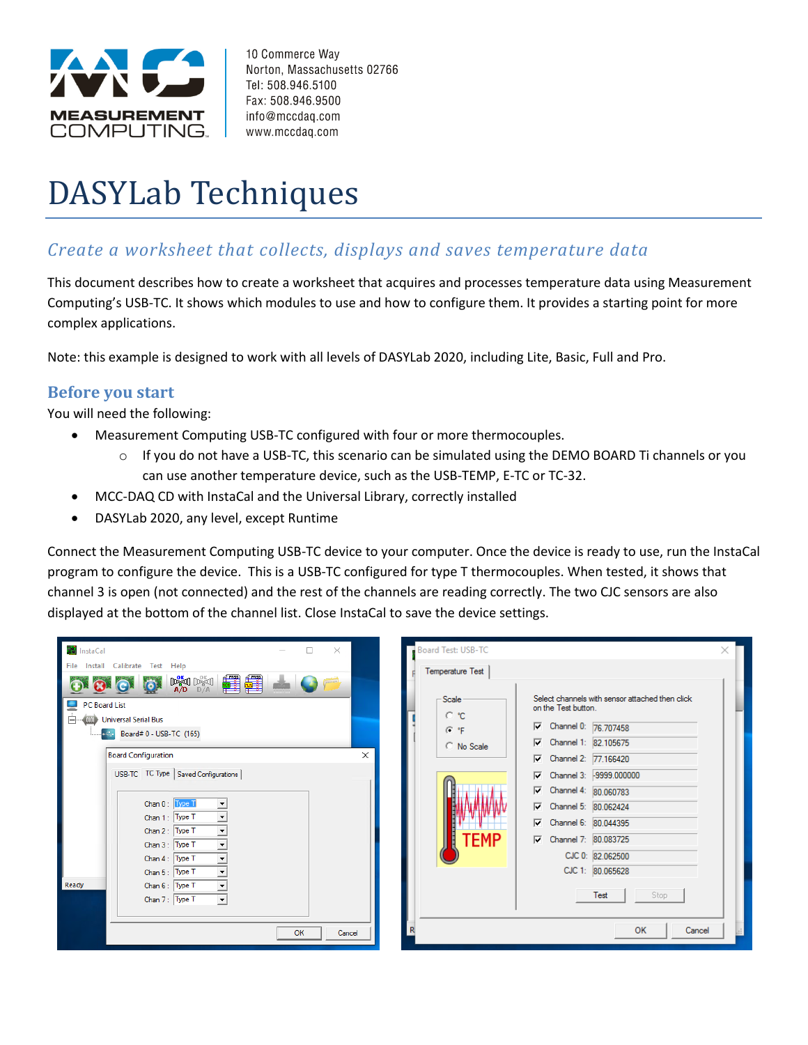

10 Commerce Way Norton, Massachusetts 02766 Tel: 508.946.5100 Fax: 508.946.9500 info@mccdaq.com www.mccdaq.com

# DASYLab Techniques

# *Create a worksheet that collects, displays and saves temperature data*

This document describes how to create a worksheet that acquires and processes temperature data using Measurement Computing's USB-TC. It shows which modules to use and how to configure them. It provides a starting point for more complex applications.

Note: this example is designed to work with all levels of DASYLab 2020, including Lite, Basic, Full and Pro.

## **Before you start**

You will need the following:

- Measurement Computing USB-TC configured with four or more thermocouples.
	- $\circ$  If you do not have a USB-TC, this scenario can be simulated using the DEMO BOARD Ti channels or you can use another temperature device, such as the USB-TEMP, E-TC or TC-32.
- MCC-DAQ CD with InstaCal and the Universal Library, correctly installed
- DASYLab 2020, any level, except Runtime

Connect the Measurement Computing USB-TC device to your computer. Once the device is ready to use, run the InstaCal program to configure the device. This is a USB-TC configured for type T thermocouples. When tested, it shows that channel 3 is open (not connected) and the rest of the channels are reading correctly. The two CJC sensors are also displayed at the bottom of the channel list. Close InstaCal to save the device settings.

| InstaCal                                   |    | $\times$     |   |
|--------------------------------------------|----|--------------|---|
| Install<br>Calibrate Test Help<br>File     |    |              |   |
| <b>Deal</b> Deal<br>A/D<br>D/A             |    | <b>SHOPP</b> |   |
| <b>PC Board List</b>                       |    |              |   |
| 000 Universal Serial Bus                   |    |              |   |
| Board# 0 - USB-TC (165)                    |    |              |   |
|                                            |    |              |   |
| <b>Board Configuration</b>                 |    |              | × |
| USB-TC TC Type   Saved Configurations      |    |              |   |
|                                            |    |              |   |
| Chan 0:   Lype T                           |    |              |   |
| Chan 1: Type T                             |    |              |   |
| Chan 2: Type T<br>$\overline{\phantom{a}}$ |    |              |   |
| Chan 3: Type T<br>▼                        |    |              |   |
| $\overline{\phantom{0}}$<br>Chan 4: Type T |    |              |   |
| Chan 5: Type T<br>$\overline{\phantom{a}}$ |    |              |   |
| Ready<br>Chan 6: Type T<br>٠               |    |              |   |
| Chan 7: Type T<br>$\overline{\phantom{a}}$ |    |              |   |
|                                            |    |              |   |
|                                            | OK | Cancel       |   |

| Board Test: USB-TC |                                                                        | × |
|--------------------|------------------------------------------------------------------------|---|
| Temperature Test   |                                                                        |   |
| Scale :<br>C °C    | Select channels with sensor attached then click<br>on the Test button. |   |
| G °F               | Channel 0: 76.707458<br>☞                                              |   |
| C No Scale         | Channel 1: 82.105675                                                   |   |
|                    | Channel 2: 77,166420<br>⊽⊹                                             |   |
|                    | □ Channel 3: -9999.000000                                              |   |
|                    | Channel 4: 80.060783                                                   |   |
|                    | Channel 5: 80.062424                                                   |   |
|                    | Channel 6: 80.044395<br>☞                                              |   |
| I FMP              | Channel 7: 80.083725                                                   |   |
|                    | CJC 0: 82.062500                                                       |   |
|                    | CJC 1: 80.065628                                                       |   |
|                    | Test<br>Stop                                                           |   |
| R                  | OK<br>Cancel                                                           |   |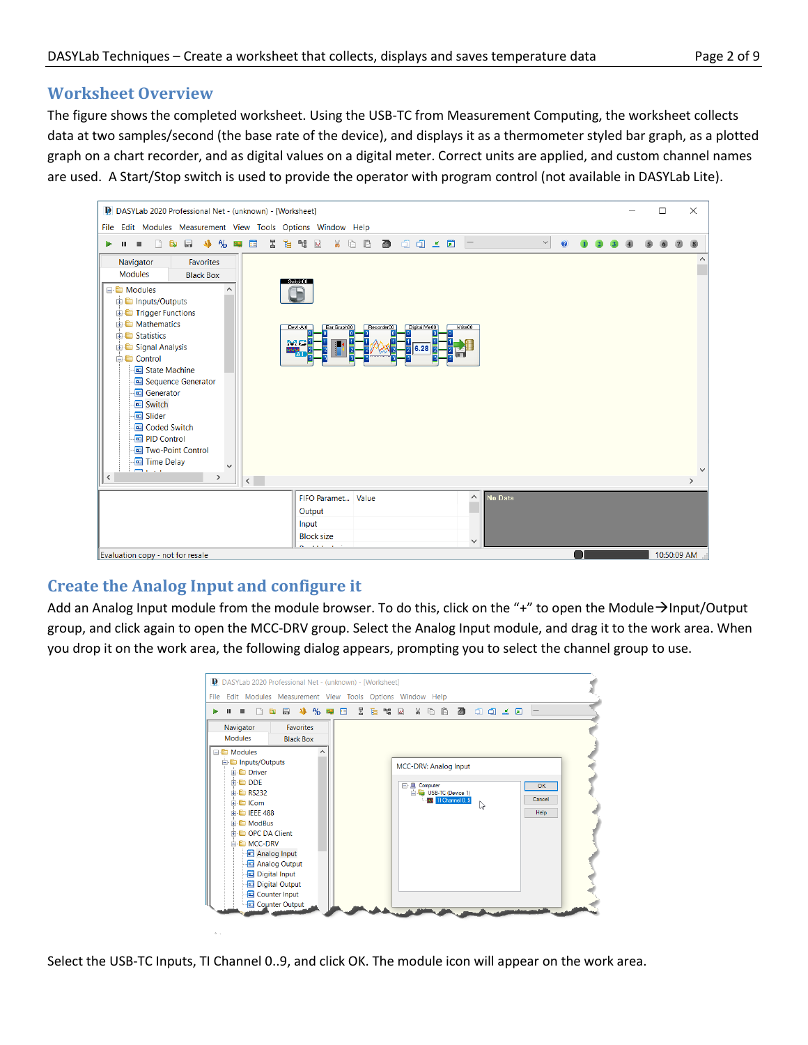## **Worksheet Overview**

The figure shows the completed worksheet. Using the USB-TC from Measurement Computing, the worksheet collects data at two samples/second (the base rate of the device), and displays it as a thermometer styled bar graph, as a plotted graph on a chart recorder, and as digital values on a digital meter. Correct units are applied, and custom channel names are used. A Start/Stop switch is used to provide the operator with program control (not available in DASYLab Lite).



## **Create the Analog Input and configure it**

Add an Analog Input module from the module browser. To do this, click on the "+" to open the Module→Input/Output group, and click again to open the MCC-DRV group. Select the Analog Input module, and drag it to the work area. When you drop it on the work area, the following dialog appears, prompting you to select the channel group to use.

| 局<br>$\mathbf{R}$<br>$\mathbf{u}$<br>ш | 小小叫口 医毛帽回 |                    |                                       | $X$ & $B$ $B$ $C$ $C$ $C$ $C$ $C$ |        |
|----------------------------------------|-----------|--------------------|---------------------------------------|-----------------------------------|--------|
| <b>Favorites</b><br>Navigator          |           |                    |                                       |                                   |        |
| <b>Modules</b><br><b>Black Box</b>     |           |                    |                                       |                                   |        |
| <b>E</b> Modules                       | ㅅ         |                    |                                       |                                   |        |
| inputs/Outputs                         |           |                    | MCC-DRV: Analog Input                 |                                   |        |
| <b>Driver</b>                          |           |                    |                                       |                                   |        |
| <b>E</b> DDE                           |           | <b>E-</b> Computer |                                       |                                   | OK     |
| 中 <b>自 RS232</b><br><b>E</b> ICom      |           |                    | USB-TC (Device 1)<br>M TI Channel 0.9 |                                   | Cancel |
| <b>ED IEEE 488</b>                     |           |                    |                                       | Ľ5                                | Help   |
| <b>E</b> ModBus                        |           |                    |                                       |                                   |        |
| <b>E</b> OPC DA Client                 |           |                    |                                       |                                   |        |
| <b>E</b> MCC-DRV                       |           |                    |                                       |                                   |        |
| Analog Input                           |           |                    |                                       |                                   |        |
| Analog Output                          |           |                    |                                       |                                   |        |
| Digital Input                          |           |                    |                                       |                                   |        |
| Digital Output<br>Counter Input        |           |                    |                                       |                                   |        |
| Counter Output                         |           |                    |                                       |                                   |        |

Select the USB-TC Inputs, TI Channel 0..9, and click OK. The module icon will appear on the work area.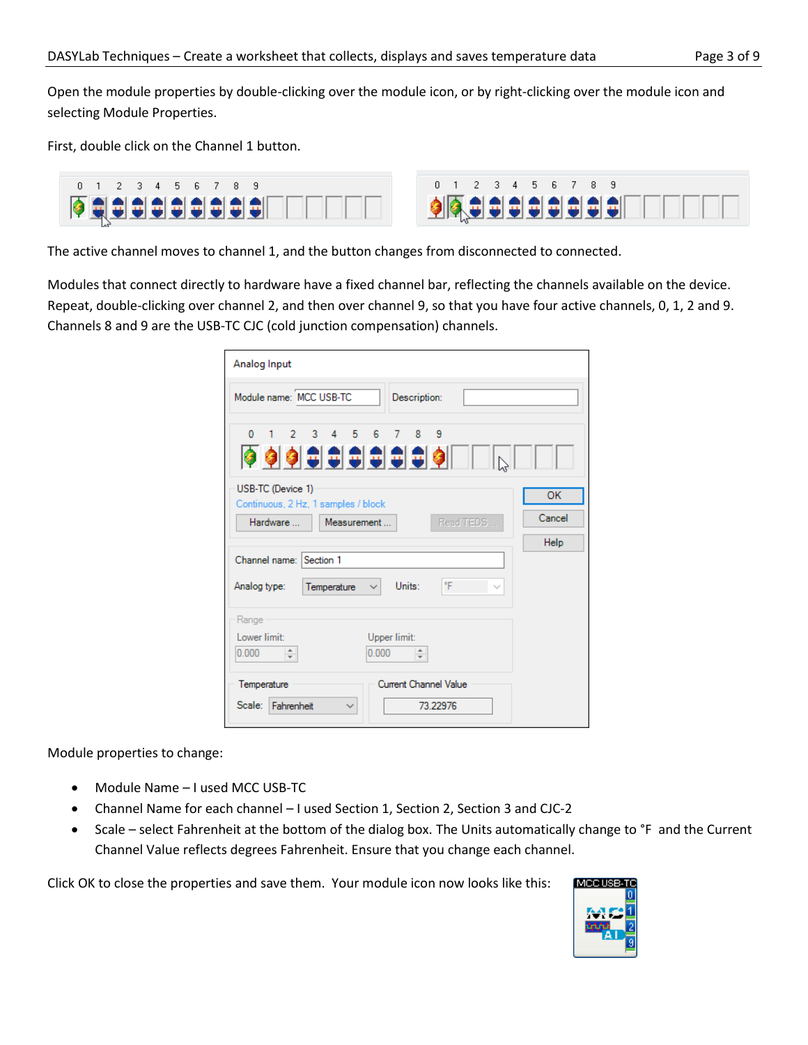Open the module properties by double-clicking over the module icon, or by right-clicking over the module icon and selecting Module Properties.

First, double click on the Channel 1 button.



The active channel moves to channel 1, and the button changes from disconnected to connected.

Modules that connect directly to hardware have a fixed channel bar, reflecting the channels available on the device. Repeat, double-clicking over channel 2, and then over channel 9, so that you have four active channels, 0, 1, 2 and 9. Channels 8 and 9 are the USB-TC CJC (cold junction compensation) channels.

| Analog Input                                                                           |                             |
|----------------------------------------------------------------------------------------|-----------------------------|
| Module name: MCC USB-TC<br>Description:                                                |                             |
| 0 1 2 3 4 5 6 7 8 9<br><b>QOODDDDDDDDDDD</b><br>USB-TC (Device 1)                      |                             |
| Continuous, 2 Hz, 1 samples / block<br>Read TEDS<br>Hardware<br>Measurement            | <b>OK</b><br>Cancel<br>Help |
| Channel name: Section 1<br>°F<br>Units:<br>Analog type:<br>Temperature<br>$\backsim$ 1 |                             |
| Range<br>Lower limit:<br>Upper limit:<br>0.000<br>0.000<br>۰<br>÷<br>÷                 |                             |
| Current Channel Value<br>Temperature<br>Scale: Fahrenheit<br>73 22976<br>$\checkmark$  |                             |

Module properties to change:

- Module Name I used MCC USB-TC
- Channel Name for each channel I used Section 1, Section 2, Section 3 and CJC-2
- Scale select Fahrenheit at the bottom of the dialog box. The Units automatically change to °F and the Current Channel Value reflects degrees Fahrenheit. Ensure that you change each channel.

Click OK to close the properties and save them. Your module icon now looks like this:

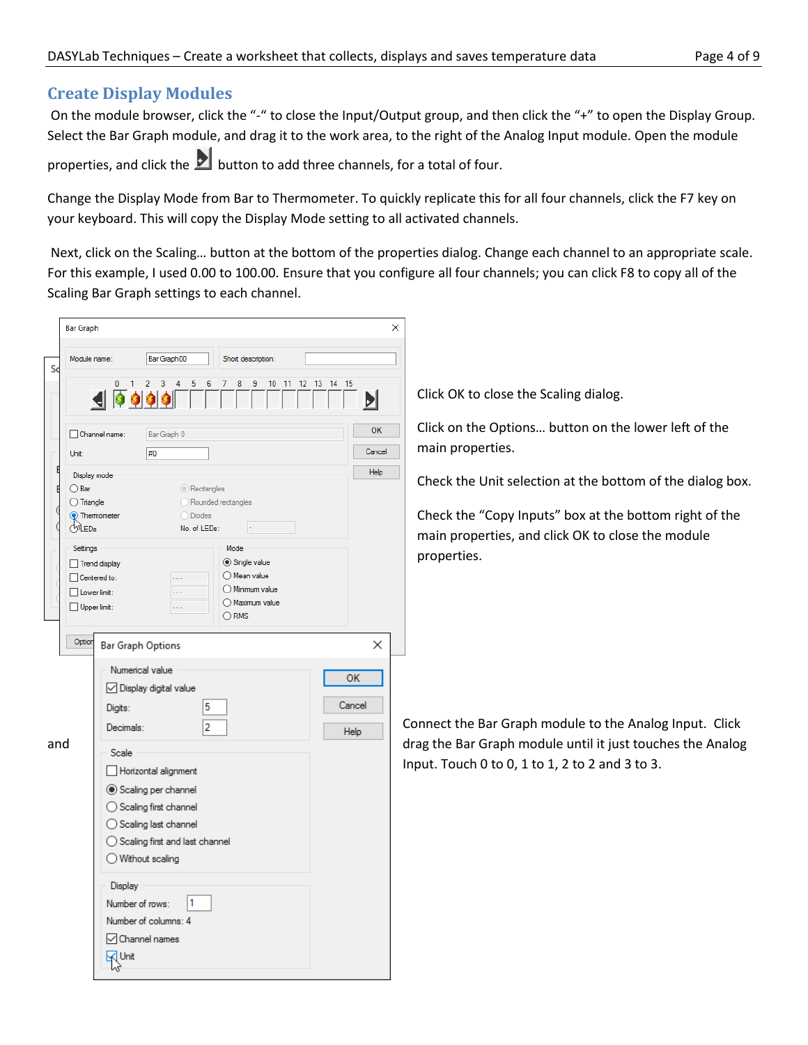## **Create Display Modules**

On the module browser, click the "-" to close the Input/Output group, and then click the "+" to open the Display Group. Select the Bar Graph module, and drag it to the work area, to the right of the Analog Input module. Open the module properties, and click the **button to add three channels, for a total of four.** 

Change the Display Mode from Bar to Thermometer. To quickly replicate this for all four channels, click the F7 key on your keyboard. This will copy the Display Mode setting to all activated channels.

Next, click on the Scaling… button at the bottom of the properties dialog. Change each channel to an appropriate scale. For this example, I used 0.00 to 100.00. Ensure that you configure all four channels; you can click F8 to copy all of the Scaling Bar Graph settings to each channel.

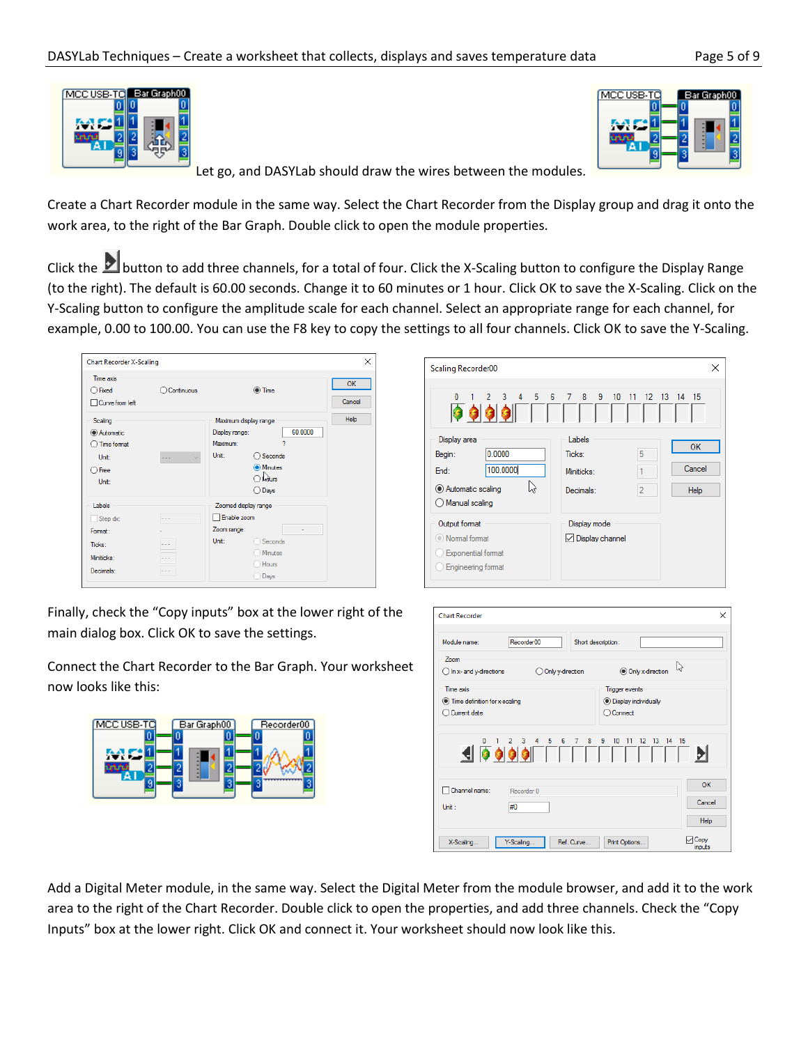



Let go, and DASYLab should draw the wires between the modules.

Create a Chart Recorder module in the same way. Select the Chart Recorder from the Display group and drag it onto the work area, to the right of the Bar Graph. Double click to open the module properties.

Click the **button to add three channels, for a total of four.** Click the X-Scaling button to configure the Display Range (to the right). The default is 60.00 seconds. Change it to 60 minutes or 1 hour. Click OK to save the X-Scaling. Click on the Y-Scaling button to configure the amplitude scale for each channel. Select an appropriate range for each channel, for example, 0.00 to 100.00. You can use the F8 key to copy the settings to all four channels. Click OK to save the Y-Scaling.

| <b>Chart Recorder X-Scaling</b>                                          |                          |                                                                                                                                                                | ×                   |
|--------------------------------------------------------------------------|--------------------------|----------------------------------------------------------------------------------------------------------------------------------------------------------------|---------------------|
| Time axis<br>◯ Fixed<br>Curve from left                                  | Continuous               | $\odot$ Time                                                                                                                                                   | <b>OK</b><br>Cancel |
| Scaling<br>Automatic<br>Time format<br>Unit:<br>$\bigcirc$ Free<br>Unit: | $\overline{\phantom{a}}$ | Maximum display range<br>60.0000<br>Display range:<br>2<br>Maximum:<br>Unit:<br>$\bigcirc$ Seconds<br><b>O</b> Minutes<br>$\ln \frac{1}{2}$<br>$\bigcirc$ Days | Help                |
| Labels<br>Step dx:<br>Format:<br>Ticks:<br>Miniticks:<br>Decimals:       | . .<br>.<br>٠            | Zoomed display range<br>□ Enable zoom<br>Zoom range:<br>Unit:<br>Seconds<br>Minutes<br>Hours<br>Days                                                           |                     |

| Scaling Recorder00                                                                            |                                             |                          | ×                    |
|-----------------------------------------------------------------------------------------------|---------------------------------------------|--------------------------|----------------------|
| 3 4 5<br>6<br>$\mathbf{0}$<br>$\overline{2}$<br>19 9 1                                        | 8 9 10<br>$\overline{7}$<br>$-11$           |                          | 12 13 14 15          |
| Display area<br>0.0000<br>Begin:<br>100.0000<br>End:<br>Automatic scaling<br>O Manual scaling | Labels<br>Ticks:<br>Miniticks:<br>Decimals: | 5<br>1<br>$\overline{2}$ | OK<br>Cancel<br>Help |
| Output format<br>(®) Normal format<br><b>Exponential format</b><br>Engineering format         | Display mode<br>□ Display channel           |                          |                      |

Finally, check the "Copy inputs" box at the lower right of the main dialog box. Click OK to save the settings.

Connect the Chart Recorder to the Bar Graph. Your worksheet now looks like this:



| <b>Chart Recorder</b>                                 |                                                                       |                                  |                             |
|-------------------------------------------------------|-----------------------------------------------------------------------|----------------------------------|-----------------------------|
| Module name:                                          | Recorder00                                                            | Short description:               |                             |
| 7 <sub>nom</sub><br>$\bigcirc$ In x- and y-directions | O Only y-direction                                                    | O Only x-direction               | じ                           |
|                                                       |                                                                       |                                  |                             |
| Time axis                                             |                                                                       | <b>Trigger events</b>            |                             |
| ◯ Time definition for x-scaling                       |                                                                       | <b>O</b> Display individually    |                             |
| $\bigcirc$ Current date                               |                                                                       | ○ Connect                        |                             |
|                                                       | $0 \t1 \t2 \t3 \t4 \t5$<br>6<br>7 <sup>7</sup><br>8<br>SPOOFFFFFFFFFF | $9 - 10$<br>12 13 14 15<br>$-11$ | D                           |
| Channel name:                                         | Recorder 0                                                            |                                  | OK                          |
| Unit :                                                | #0                                                                    |                                  | Cancel                      |
|                                                       |                                                                       |                                  | <b>Help</b>                 |
| X-Scaling                                             | Y-Scaling<br>Ref. Curve                                               | Print Options                    | <sup>1</sup> Copy<br>inputs |

Add a Digital Meter module, in the same way. Select the Digital Meter from the module browser, and add it to the work area to the right of the Chart Recorder. Double click to open the properties, and add three channels. Check the "Copy Inputs" box at the lower right. Click OK and connect it. Your worksheet should now look like this.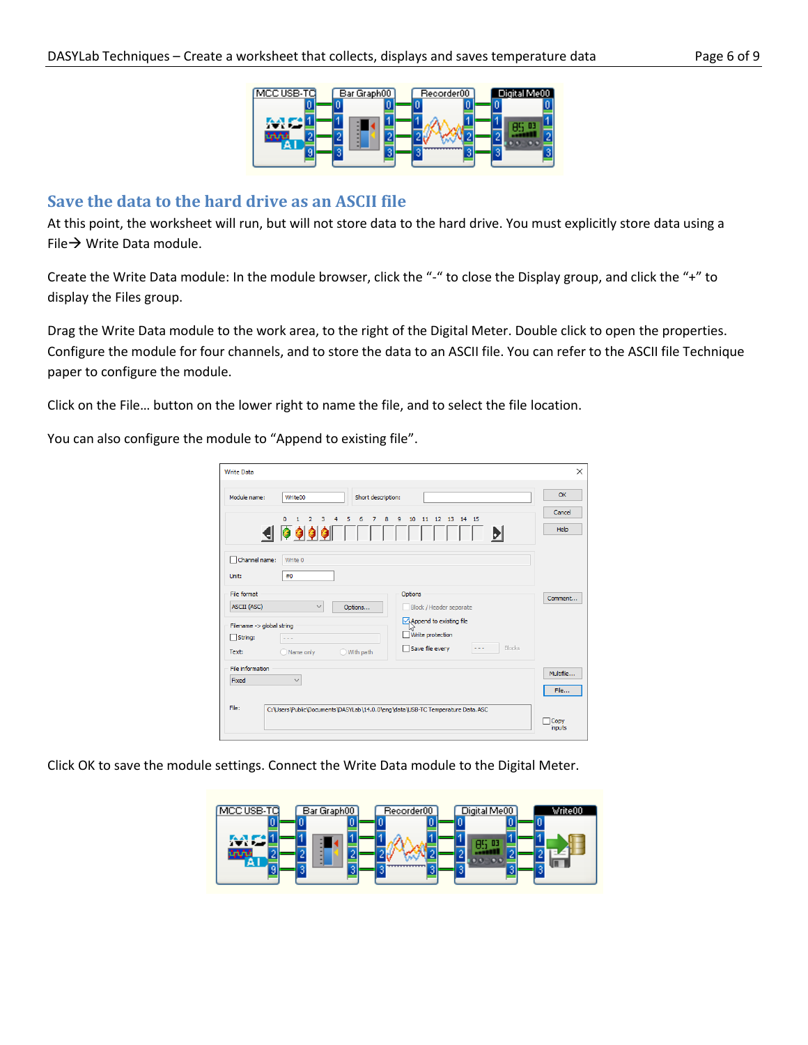

#### **Save the data to the hard drive as an ASCII file**

At this point, the worksheet will run, but will not store data to the hard drive. You must explicitly store data using a File→ Write Data module.

Create the Write Data module: In the module browser, click the "-" to close the Display group, and click the "+" to display the Files group.

Drag the Write Data module to the work area, to the right of the Digital Meter. Double click to open the properties. Configure the module for four channels, and to store the data to an ASCII file. You can refer to the ASCII file Technique paper to configure the module.

Click on the File… button on the lower right to name the file, and to select the file location.

You can also configure the module to "Append to existing file".

| <b>Write Data</b>                                                                                                                                                                         | $\times$               |
|-------------------------------------------------------------------------------------------------------------------------------------------------------------------------------------------|------------------------|
| Module name:<br>Write00<br>Short description:<br>$\Omega$<br>3<br>4<br>5<br>8<br>9<br>10<br>11   12   13   14   15<br>$\overline{2}$<br>6<br>$\overline{7}$<br>1<br><b>JO999FIFF</b><br>Ы | OK<br>Cancel<br>Help   |
| Channel name:<br>Write 0<br>#0<br>Unit:<br>File format<br>Options<br>ASCII (ASC)<br>$\checkmark$<br>Block / Header separate<br>Options<br>Append to existing file                         | Comment                |
| Filename -> global string<br>Write protection<br>$\Box$ String:<br>$ -$<br>Blocks<br>Save file every<br>Name only<br>O With path<br>Text:<br>File information                             | Multifile              |
| Fixed<br>$\checkmark$<br>File:<br>C: \Users\Public\Documents\DASYLab\14.0.0\enq\data\USB-TC Temperature Data.ASC                                                                          | File<br>Copy<br>inputs |

Click OK to save the module settings. Connect the Write Data module to the Digital Meter.

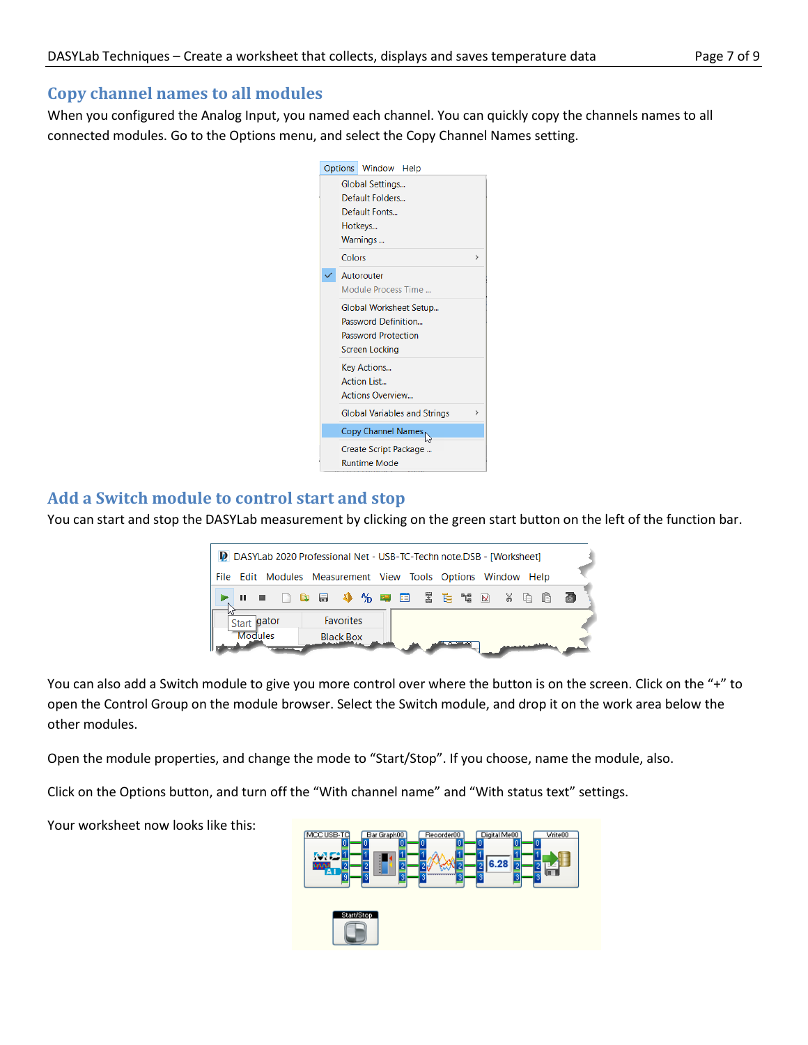### **Copy channel names to all modules**

When you configured the Analog Input, you named each channel. You can quickly copy the channels names to all connected modules. Go to the Options menu, and select the Copy Channel Names setting.



## **Add a Switch module to control start and stop**

You can start and stop the DASYLab measurement by clicking on the green start button on the left of the function bar.

| D DASYLab 2020 Professional Net - USB-TC-Techn note.DSB - [Worksheet] |                  |  |      |
|-----------------------------------------------------------------------|------------------|--|------|
| File Edit Modules Measurement View Tools Options Window Help          |                  |  |      |
|                                                                       |                  |  | - 20 |
| иг<br>gator<br>Start                                                  | <b>Favorites</b> |  |      |
| <b>Modules</b>                                                        | <b>Black Box</b> |  |      |

You can also add a Switch module to give you more control over where the button is on the screen. Click on the "+" to open the Control Group on the module browser. Select the Switch module, and drop it on the work area below the other modules.

Open the module properties, and change the mode to "Start/Stop". If you choose, name the module, also.

Click on the Options button, and turn off the "With channel name" and "With status text" settings.

Your worksheet now looks like this:

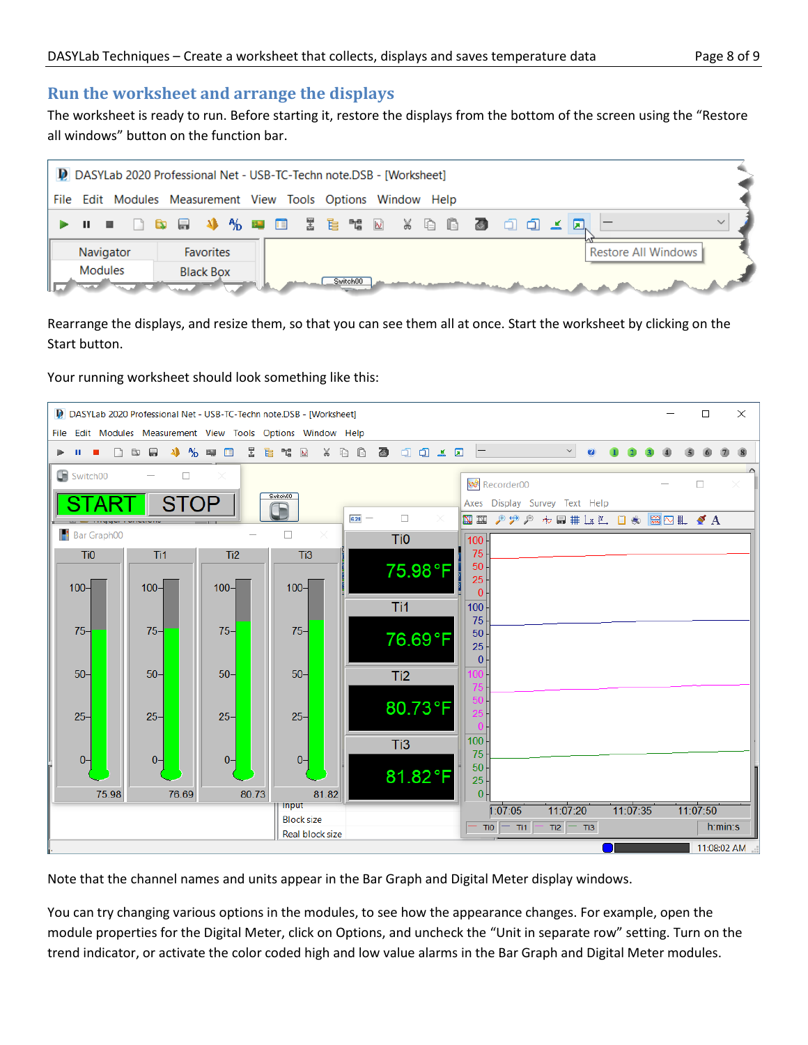## **Run the worksheet and arrange the displays**

The worksheet is ready to run. Before starting it, restore the displays from the bottom of the screen using the "Restore all windows" button on the function bar.



Rearrange the displays, and resize them, so that you can see them all at once. Start the worksheet by clicking on the Start button.

Your running worksheet should look something like this:



Note that the channel names and units appear in the Bar Graph and Digital Meter display windows.

You can try changing various options in the modules, to see how the appearance changes. For example, open the module properties for the Digital Meter, click on Options, and uncheck the "Unit in separate row" setting. Turn on the trend indicator, or activate the color coded high and low value alarms in the Bar Graph and Digital Meter modules.